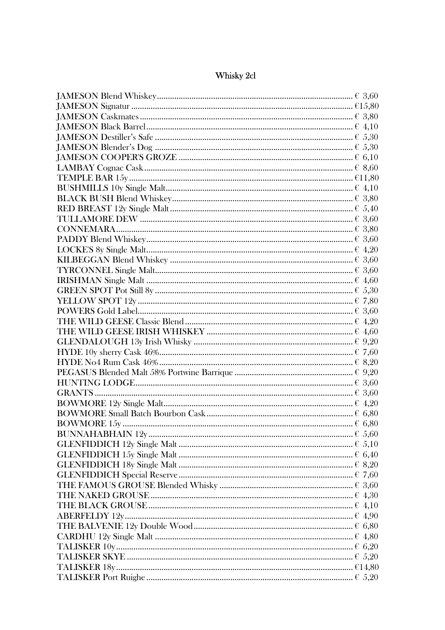## Whisky 2cl